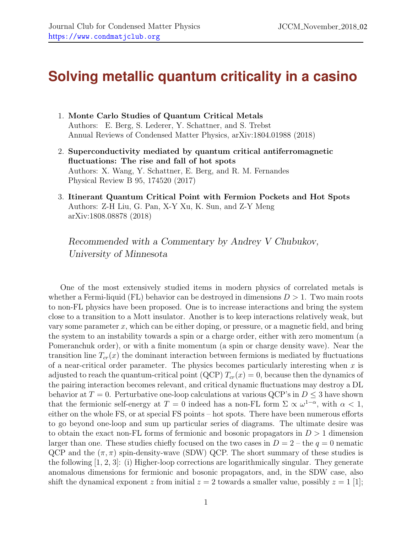## **Solving metallic quantum criticality in a casino**

- 1. Monte Carlo Studies of Quantum Critical Metals Authors: E. Berg, S. Lederer, Y. Schattner, and S. Trebst Annual Reviews of Condensed Matter Physics, arXiv:1804.01988 (2018)
- 2. Superconductivity mediated by quantum critical antiferromagnetic fluctuations: The rise and fall of hot spots Authors: X. Wang, Y. Schattner, E. Berg, and R. M. Fernandes Physical Review B 95, 174520 (2017)
- 3. Itinerant Quantum Critical Point with Fermion Pockets and Hot Spots Authors: Z-H Liu, G. Pan, X-Y Xu, K. Sun, and Z-Y Meng arXiv:1808.08878 (2018)

Recommended with a Commentary by Andrey V Chubukov, University of Minnesota

One of the most extensively studied items in modern physics of correlated metals is whether a Fermi-liquid (FL) behavior can be destroyed in dimensions  $D > 1$ . Two main roots to non-FL physics have been proposed. One is to increase interactions and bring the system close to a transition to a Mott insulator. Another is to keep interactions relatively weak, but vary some parameter  $x$ , which can be either doping, or pressure, or a magnetic field, and bring the system to an instability towards a spin or a charge order, either with zero momentum (a Pomeranchuk order), or with a finite momentum (a spin or charge density wave). Near the transition line  $T_{cr}(x)$  the dominant interaction between fermions is mediated by fluctuations of a near-critical order parameter. The physics becomes particularly interesting when  $x$  is adjusted to reach the quantum-critical point (QCP)  $T_{cr}(x) = 0$ , because then the dynamics of the pairing interaction becomes relevant, and critical dynamic fluctuations may destroy a DL behavior at  $T = 0$ . Perturbative one-loop calculations at various QCP's in  $D \leq 3$  have shown that the fermionic self-energy at  $T = 0$  indeed has a non-FL form  $\Sigma \propto \omega^{1-\alpha}$ , with  $\alpha < 1$ , either on the whole FS, or at special FS points – hot spots. There have been numerous efforts to go beyond one-loop and sum up particular series of diagrams. The ultimate desire was to obtain the exact non-FL forms of fermionic and bosonic propagators in  $D > 1$  dimension larger than one. These studies chiefly focused on the two cases in  $D = 2$  – the  $q = 0$  nematic QCP and the  $(\pi, \pi)$  spin-density-wave (SDW) QCP. The short summary of these studies is the following [\[1,](#page-3-0) [2,](#page-3-1) [3\]](#page-3-2): (i) Higher-loop corrections are logarithmically singular. They generate anomalous dimensions for fermionic and bosonic propagators, and, in the SDW case, also shift the dynamical exponent z from initial  $z = 2$  towards a smaller value, possibly  $z = 1$  [\[1\]](#page-3-0);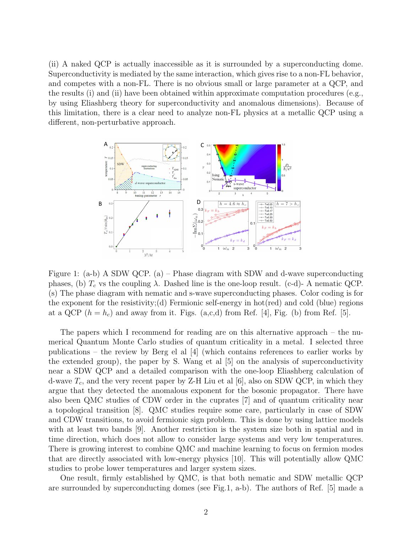(ii) A naked QCP is actually inaccessible as it is surrounded by a superconducting dome. Superconductivity is mediated by the same interaction, which gives rise to a non-FL behavior, and competes with a non-FL. There is no obvious small or large parameter at a QCP, and the results (i) and (ii) have been obtained within approximate computation procedures (e.g., by using Eliashberg theory for superconductivity and anomalous dimensions). Because of this limitation, there is a clear need to analyze non-FL physics at a metallic QCP using a different, non-perturbative approach.



<span id="page-1-0"></span>Figure 1: (a-b) A SDW QCP. (a) – Phase diagram with SDW and d-wave superconducting phases, (b)  $T_c$  vs the coupling  $\lambda$ . Dashed line is the one-loop result. (c-d)- A nematic QCP. (s) The phase diagram with nematic and s-wave superconducting phases. Color coding is for the exponent for the resistivity; (d) Fermionic self-energy in hot  $(\text{red})$  and cold  $(\text{blue})$  regions at a QCP  $(h = h_c)$  and away from it. Figs.  $(a, c, d)$  from Ref. [\[4\]](#page-3-3), Fig. (b) from Ref. [\[5\]](#page-3-4).

The papers which I recommend for reading are on this alternative approach – the numerical Quantum Monte Carlo studies of quantum criticality in a metal. I selected three publications – the review by Berg el al  $\left[4\right]$  (which contains references to earlier works by the extended group), the paper by S. Wang et al [\[5\]](#page-3-4) on the analysis of superconductivity near a SDW QCP and a detailed comparison with the one-loop Eliashberg calculation of d-wave  $T_c$ , and the very recent paper by Z-H Liu et al [\[6\]](#page-3-5), also on SDW QCP, in which they argue that they detected the anomalous exponent for the bosonic propagator. There have also been QMC studies of CDW order in the cuprates [\[7\]](#page-3-6) and of quantum criticality near a topological transition [\[8\]](#page-3-7). QMC studies require some care, particularly in case of SDW and CDW transitions, to avoid fermionic sign problem. This is done by using lattice models with at least two bands [\[9\]](#page-3-8). Another restriction is the system size both in spatial and in time direction, which does not allow to consider large systems and very low temperatures. There is growing interest to combine QMC and machine learning to focus on fermion modes that are directly associated with low-energy physics [\[10\]](#page-3-9). This will potentially allow QMC studies to probe lower temperatures and larger system sizes.

One result, firmly established by QMC, is that both nematic and SDW metallic QCP are surrounded by superconducting domes (see Fig[.1,](#page-1-0) a-b). The authors of Ref. [\[5\]](#page-3-4) made a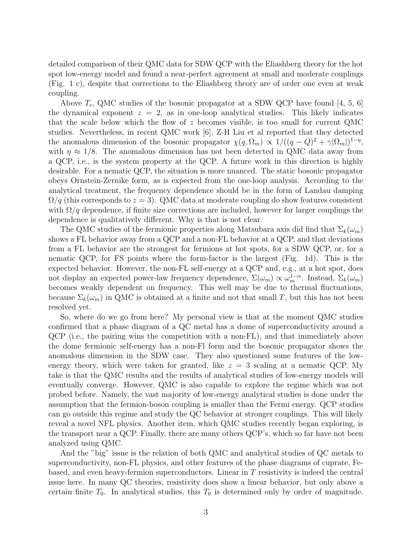detailed comparison of their QMC data for SDW QCP with the Eliashberg theory for the hot spot low-energy model and found a near-perfect agreement at small and moderate couplings (Fig. [1](#page-1-0) c), despite that corrections to the Eliashberg theory are of order one even at weak coupling.

Above  $T_c$ , QMC studies of the bosonic propagator at a SDW QCP have found [\[4,](#page-3-3) [5,](#page-3-4) [6\]](#page-3-5) the dynamical exponent  $z = 2$ , as in one-loop analytical studies. This likely indicates that the scale below which the flow of z becomes visible, is too small for current QMC studies. Nevertheless, in recent QMC work [\[6\]](#page-3-5), Z-H Liu et al reported that they detected the anomalous dimension of the bosonic propagator  $\chi(q, \Omega_m) \propto 1/((q - Q)^2 + \gamma |\Omega_m|)^{1-\eta}$ , with  $\eta \approx 1/8$ . The anomalous dimension has not been detected in QMC data away from a QCP, i.e., is the system property at the QCP. A future work in this direction is highly desirable. For a nematic QCP, the situation is more nuanced. The static bosonic propagator obeys Ornstein-Zernike form, as is expected from the one-loop analysis. According to the analytical treatment, the frequency dependence should be in the form of Landau damping  $\Omega/q$  (this corresponds to  $z = 3$ ). QMC data at moderate coupling do show features consistent with  $\Omega/q$  dependence, if finite size corrections are included, however for larger couplings the dependence is qualitatively different. Why is that is not clear.

The QMC studies of the fermionic properties along Matsubara axis did find that  $\Sigma_k(\omega_m)$ shows a FL behavior away from a QCP and a non-FL behavior at a QCP, and that deviations from a FL behavior are the strongest for fermions at hot spots, for a SDW QCP, or, for a nematic QCP, for FS points where the form-factor is the largest (Fig. [1d](#page-1-0)). This is the expected behavior. However, the non-FL self-energy at a QCP and, e.g., at a hot spot, does not display an expected power-law frequency dependence,  $\Sigma(\omega_m) \propto \omega_m^{1-\alpha}$ . Instead,  $\Sigma_k(\omega_m)$ becomes weakly dependent on frequency. This well may be due to thermal fluctuations, because  $\Sigma_k(\omega_m)$  in QMC is obtained at a finite and not that small T, but this has not been resolved yet.

So, where do we go from here? My personal view is that at the moment QMC studies confirmed that a phase diagram of a QC metal has a dome of superconductivity around a QCP (i.e., the pairing wins the competition with a non-FL), and that immediately above the dome fermionic self-energy has a non-Fl form and the bosonic propagator shows the anomalous dimension in the SDW case. They also questioned some features of the lowenergy theory, which were taken for granted, like  $z = 3$  scaling at a nematic QCP. My take is that the QMC results and the results of analytical studies of low-energy models will eventually converge. However, QMC is also capable to explore the regime which was not probed before. Namely, the vast majority of low-energy analytical studies is done under the assumption that the fermion-boson coupling is smaller than the Fermi energy. QCP studies can go outside this regime and study the QC behavior at stronger couplings. This will likely reveal a novel NFL physics. Another item, which QMC studies recently began exploring, is the transport near a QCP. Finally, there are many others QCP's, which so far have not been analyzed using QMC.

And the "big" issue is the relation of both QMC and analytical studies of QC metals to superconductivity, non-FL physics, and other features of the phase diagrams of cuprate, Febased, and even heavy-fermion superconductors. Linear in T resistivity is indeed the central issue here. In many QC theories, resistivity does show a linear behavior, but only above a certain finite  $T_0$ . In analytical studies, this  $T_0$  is determined only by order of magnitude.